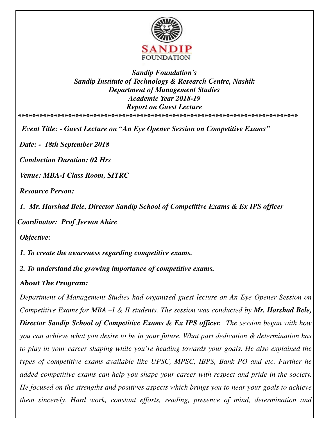

*Sandip Foundation's Sandip Institute of Technology & Research Centre, Nashik Department of Management Studies Academic Year 2018-19 Report on Guest Lecture*  **\*\*\*\*\*\*\*\*\*\*\*\*\*\*\*\*\*\*\*\*\*\*\*\*\*\*\*\*\*\*\*\*\*\*\*\*\*\*\*\*\*\*\*\*\*\*\*\*\*\*\*\*\*\*\*\*\*\*\*\*\*\*\*\*\*\*\*\*\*\*\*\*\*\*\*\*\*\*** 

*Event Title: - Guest Lecture on "An Eye Opener Session on Competitive Exams"* 

*Date: - 18th September 2018* 

*Conduction Duration: 02 Hrs* 

*Venue: MBA-I Class Room, SITRC* 

*Resource Person:* 

*1. Mr. Harshad Bele, Director Sandip School of Competitive Exams & Ex IPS officer* 

*Coordinator: Prof Jeevan Ahire* 

*Objective:* 

*1. To create the awareness regarding competitive exams.* 

*2. To understand the growing importance of competitive exams.* 

## *About The Program:*

*Department of Management Studies had organized guest lecture on An Eye Opener Session on Competitive Exams for MBA –I & II students. The session was conducted by Mr. Harshad Bele, Director Sandip School of Competitive Exams & Ex IPS officer. The session began with how you can achieve what you desire to be in your future. What part dedication & determination has to play in your career shaping while you're heading towards your goals. He also explained the types of competitive exams available like UPSC, MPSC, IBPS, Bank PO and etc. Further he added competitive exams can help you shape your career with respect and pride in the society. He focused on the strengths and positives aspects which brings you to near your goals to achieve them sincerely. Hard work, constant efforts, reading, presence of mind, determination and*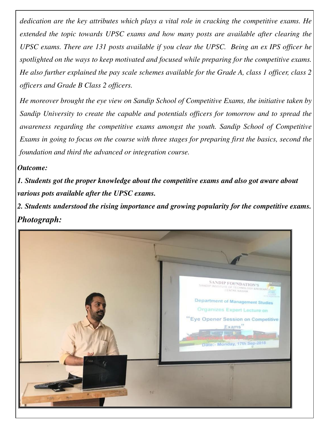*dedication are the key attributes which plays a vital role in cracking the competitive exams. He extended the topic towards UPSC exams and how many posts are available after clearing the UPSC exams. There are 131 posts available if you clear the UPSC. Being an ex IPS officer he spotlighted on the ways to keep motivated and focused while preparing for the competitive exams. He also further explained the pay scale schemes available for the Grade A, class 1 officer, class 2 officers and Grade B Class 2 officers.* 

*He moreover brought the eye view on Sandip School of Competitive Exams, the initiative taken by Sandip University to create the capable and potentials officers for tomorrow and to spread the awareness regarding the competitive exams amongst the youth. Sandip School of Competitive Exams in going to focus on the course with three stages for preparing first the basics, second the foundation and third the advanced or integration course.* 

## *Outcome:*

*1. Students got the proper knowledge about the competitive exams and also got aware about various pots available after the UPSC exams.* 

*2. Students understood the rising importance and growing popularity for the competitive exams. Photograph:*